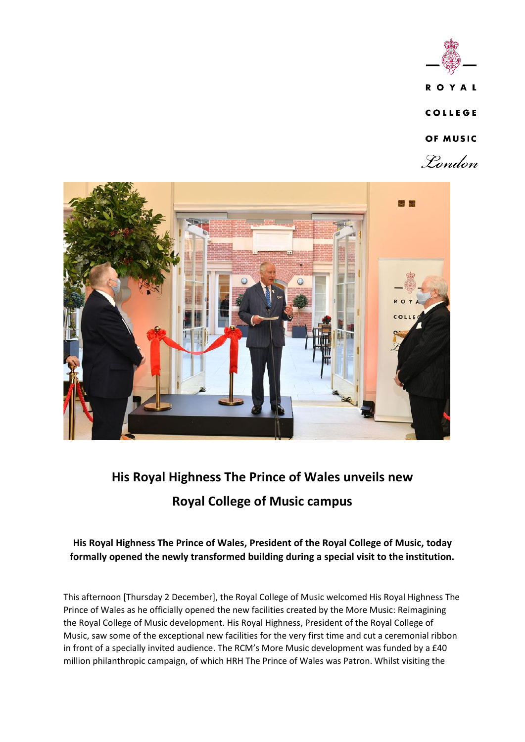



# **His Royal Highness The Prince of Wales unveils new Royal College of Music campus**

**His Royal Highness The Prince of Wales, President of the Royal College of Music, today formally opened the newly transformed building during a special visit to the institution.**

This afternoon [Thursday 2 December], the Royal College of Music welcomed His Royal Highness The Prince of Wales as he officially opened the new facilities created by the More Music: Reimagining the Royal College of Music development. His Royal Highness, President of the Royal College of Music, saw some of the exceptional new facilities for the very first time and cut a ceremonial ribbon in front of a specially invited audience. The RCM's More Music development was funded by a £40 million philanthropic campaign, of which HRH The Prince of Wales was Patron. Whilst visiting the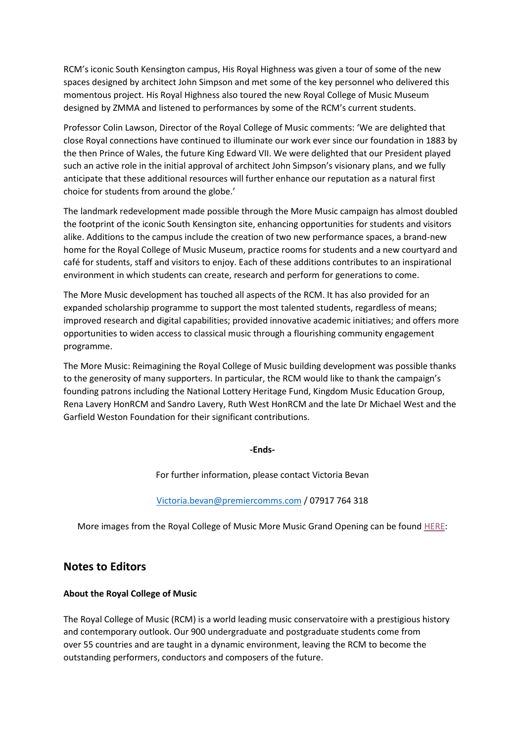RCM's iconic South Kensington campus, His Royal Highness was given a tour of some of the new spaces designed by architect John Simpson and met some of the key personnel who delivered this momentous project. His Royal Highness also toured the new Royal College of Music Museum designed by ZMMA and listened to performances by some of the RCM's current students.

Professor Colin Lawson, Director of the Royal College of Music comments: 'We are delighted that close Royal connections have continued to illuminate our work ever since our foundation in 1883 by the then Prince of Wales, the future King Edward VII. We were delighted that our President played such an active role in the initial approval of architect John Simpson's visionary plans, and we fully anticipate that these additional resources will further enhance our reputation as a natural first choice for students from around the globe.'

The landmark redevelopment made possible through the More Music campaign has almost doubled the footprint of the iconic South Kensington site, enhancing opportunities for students and visitors alike. Additions to the campus include the creation of two new performance spaces, a brand-new home for the Royal College of Music Museum, practice rooms for students and a new courtyard and café for students, staff and visitors to enjoy. Each of these additions contributes to an inspirational environment in which students can create, research and perform for generations to come.

The More Music development has touched all aspects of the RCM. It has also provided for an expanded scholarship programme to support the most talented students, regardless of means; improved research and digital capabilities; provided innovative academic initiatives; and offers more opportunities to widen access to classical music through a flourishing community engagement programme.

The More Music: Reimagining the Royal College of Music building development was possible thanks to the generosity of many supporters. In particular, the RCM would like to thank the campaign's founding patrons including the National Lottery Heritage Fund, Kingdom Music Education Group, Rena Lavery HonRCM and Sandro Lavery, Ruth West HonRCM and the late Dr Michael West and the Garfield Weston Foundation for their significant contributions.

### **-Ends-**

For further information, please contact Victoria Bevan

### [Victoria.bevan@premiercomms.com](mailto:Victoria.bevan@premiercomms.com) / 07917 764 318

More images from the Royal College of Music More Music Grand Opening can be found [HERE:](https://www.dropbox.com/sh/hlktrphrnwsvwy6/AACA9KlSdbmJ9NsOHdbb3ZEFa?dl=0)

## **Notes to Editors**

### **About the Royal College of Music**

The Royal College of Music (RCM) is a world leading music conservatoire with a prestigious history and contemporary outlook. Our 900 undergraduate and postgraduate students come from over 55 countries and are taught in a dynamic environment, leaving the RCM to become the outstanding performers, conductors and composers of the future.